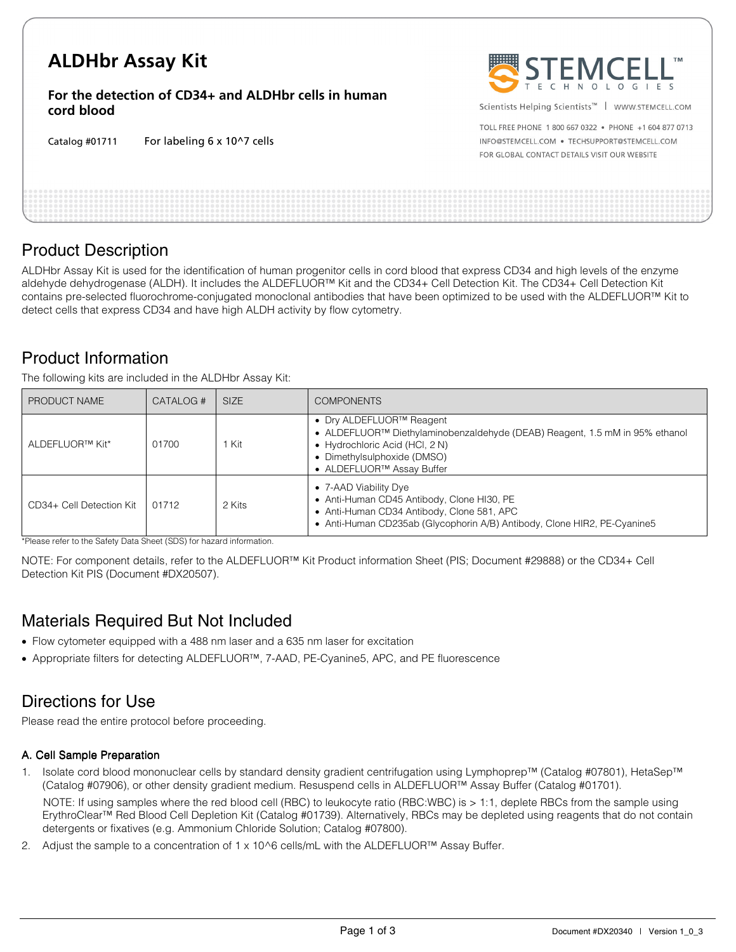# **ALDHbr Assay Kit**

**For the detection of CD34+ and ALDHbr cells in human cord blood** 

Catalog #01711 For labeling 6 x 10^7 cells



Scientists Helping Scientists<sup>™</sup> | WWW.STEMCELL.COM

TOLL FREE PHONE 1 800 667 0322 . PHONE +1 604 877 0713 INFO@STEMCELL.COM . TECHSUPPORT@STEMCELL.COM FOR GLOBAL CONTACT DETAILS VISIT OUR WEBSITE

### Product Description

ALDHbr Assay Kit is used for the identification of human progenitor cells in cord blood that express CD34 and high levels of the enzyme aldehyde dehydrogenase (ALDH). It includes the ALDEFLUOR™ Kit and the CD34+ Cell Detection Kit. The CD34+ Cell Detection Kit contains pre-selected fluorochrome-conjugated monoclonal antibodies that have been optimized to be used with the ALDEFLUOR™ Kit to detect cells that express CD34 and have high ALDH activity by flow cytometry.

### Product Information

The following kits are included in the ALDHbr Assay Kit:

| PRODUCT NAME             | CATALOG # | <b>SIZE</b> | <b>COMPONENTS</b>                                                                                                                                                                                                                           |
|--------------------------|-----------|-------------|---------------------------------------------------------------------------------------------------------------------------------------------------------------------------------------------------------------------------------------------|
| ALDEFLUOR™ Kit*          | 01700     | Kit         | • Dry ALDEFLUOR <sup>TM</sup> Reagent<br>• ALDEFLUOR <sup>TM</sup> Diethylaminobenzaldehyde (DEAB) Reagent, 1.5 mM in 95% ethanol<br>• Hydrochloric Acid (HCl, 2 N)<br>• Dimethylsulphoxide (DMSO)<br>● ALDEFLUOR <sup>™</sup> Assay Buffer |
| CD34+ Cell Detection Kit | 01712     | 2 Kits      | • 7-AAD Viability Dye<br>• Anti-Human CD45 Antibody, Clone HI30, PE<br>• Anti-Human CD34 Antibody, Clone 581, APC<br>• Anti-Human CD235ab (Glycophorin A/B) Antibody, Clone HIR2, PE-Cyanine5                                               |

\*Please refer to the Safety Data Sheet (SDS) for hazard information.

NOTE: For component details, refer to the ALDEFLUOR™ Kit Product information Sheet (PIS; Document #29888) or the CD34+ Cell Detection Kit PIS (Document #DX20507).

### Materials Required But Not Included

- Flow cytometer equipped with a 488 nm laser and a 635 nm laser for excitation
- Appropriate filters for detecting ALDEFLUOR™, 7AAD, PE-Cyanine5, APC, and PE fluorescence

### Directions for Use

Please read the entire protocol before proceeding.

#### A. Cell Sample Preparation

1. Isolate cord blood mononuclear cells by standard density gradient centrifugation using Lymphoprep™ (Catalog #07801), HetaSep™ (Catalog #07906), or other density gradient medium. Resuspend cells in ALDEFLUOR™ Assay Buffer (Catalog #01701).

NOTE: If using samples where the red blood cell (RBC) to leukocyte ratio (RBC:WBC) is > 1:1, deplete RBCs from the sample using ErythroClear™ Red Blood Cell Depletion Kit (Catalog #01739). Alternatively, RBCs may be depleted using reagents that do not contain detergents or fixatives (e.g. Ammonium Chloride Solution; Catalog #07800).

2. Adjust the sample to a concentration of 1 x 10^6 cells/mL with the ALDEFLUOR™ Assay Buffer.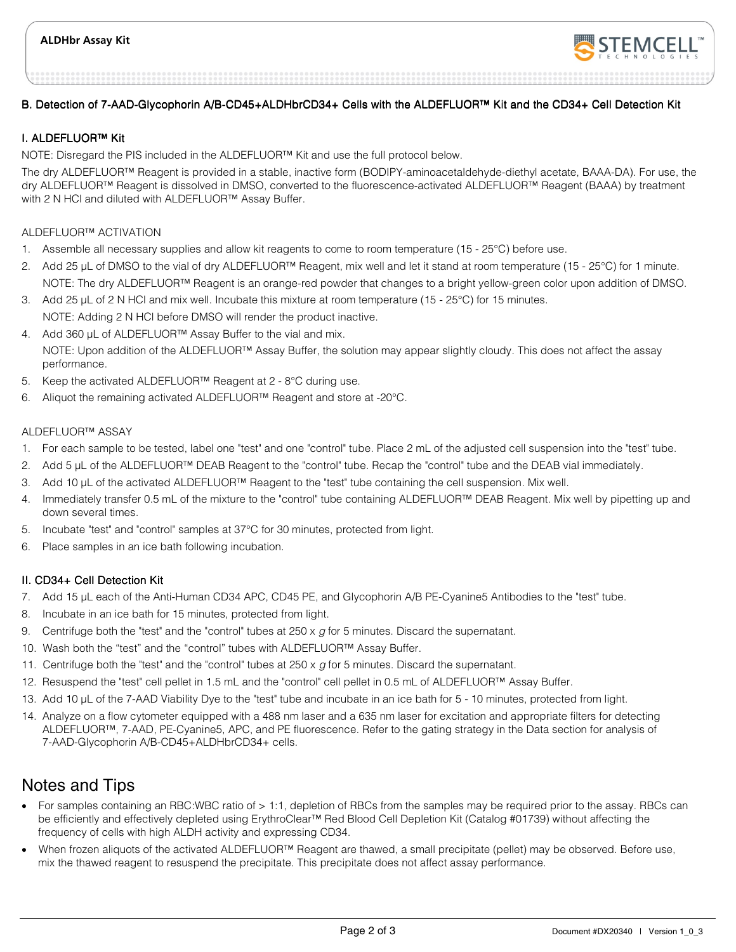

#### B. Detection of 7-AAD-Glycophorin A/B-CD45+ALDHbrCD34+ Cells with the ALDEFLUOR™ Kit and the CD34+ Cell Detection Kit

#### I. ALDEFLUOR™ Kit

NOTE: Disregard the PIS included in the ALDEFLUOR™ Kit and use the full protocol below.

The dry ALDEFLUOR™ Reagent is provided in a stable, inactive form (BODIPY-aminoacetaldehyde-diethyl acetate, BAAA-DA). For use, the dry ALDEFLUOR™ Reagent is dissolved in DMSO, converted to the fluorescence-activated ALDEFLUOR™ Reagent (BAAA) by treatment with 2 N HCl and diluted with ALDEFLUOR™ Assay Buffer.

#### ALDEFLUOR™ ACTIVATION

- 1. Assemble all necessary supplies and allow kit reagents to come to room temperature (15 25°C) before use.
- 2. Add 25 µL of DMSO to the vial of dry ALDEFLUOR™ Reagent, mix well and let it stand at room temperature (15 25°C) for 1 minute. NOTE: The dry ALDEFLUOR™ Reagent is an orange-red powder that changes to a bright yellow-green color upon addition of DMSO.
- 3. Add 25 µL of 2 N HCl and mix well. Incubate this mixture at room temperature (15 25°C) for 15 minutes. NOTE: Adding 2 N HCl before DMSO will render the product inactive.
- 4. Add 360 µL of ALDEFLUOR™ Assay Buffer to the vial and mix. NOTE: Upon addition of the ALDEFLUOR™ Assay Buffer, the solution may appear slightly cloudy. This does not affect the assay performance.
- 5. Keep the activated ALDEFLUOR™ Reagent at 2 8°C during use.
- 6. Aliquot the remaining activated ALDEFLUOR™ Reagent and store at -20°C.

#### ALDEFLUOR™ ASSAY

- 1. For each sample to be tested, label one "test" and one "control" tube. Place 2 mL of the adjusted cell suspension into the "test" tube.
- 2. Add 5 µL of the ALDEFLUOR™ DEAB Reagent to the "control" tube. Recap the "control" tube and the DEAB vial immediately.
- 3. Add 10 µL of the activated ALDEFLUOR™ Reagent to the "test" tube containing the cell suspension. Mix well.
- 4. Immediately transfer 0.5 mL of the mixture to the "control" tube containing ALDEFLUOR™ DEAB Reagent. Mix well by pipetting up and down several times.
- 5. Incubate "test" and "control" samples at 37°C for 30 minutes, protected from light.
- 6. Place samples in an ice bath following incubation.

#### II. CD34+ Cell Detection Kit

- 7. Add 15 µL each of the Anti-Human CD34 APC, CD45 PE, and Glycophorin A/B PE-Cyanine5 Antibodies to the "test" tube.
- 8. Incubate in an ice bath for 15 minutes, protected from light.
- 9. Centrifuge both the "test" and the "control" tubes at  $250 \times g$  for 5 minutes. Discard the supernatant.
- 10. Wash both the "test" and the "control" tubes with ALDEFLUOR™ Assay Buffer.
- 11. Centrifuge both the "test" and the "control" tubes at  $250 \times g$  for 5 minutes. Discard the supernatant.
- 12. Resuspend the "test" cell pellet in 1.5 mL and the "control" cell pellet in 0.5 mL of ALDEFLUOR™ Assay Buffer.
- 13. Add 10 µL of the 7-AAD Viability Dye to the "test" tube and incubate in an ice bath for 5 10 minutes, protected from light.
- 14. Analyze on a flow cytometer equipped with a 488 nm laser and a 635 nm laser for excitation and appropriate filters for detecting ALDEFLUOR™, 7-AAD, PE-Cyanine5, APC, and PE fluorescence. Refer to the gating strategy in the Data section for analysis of 7-AAD-Glycophorin A/B-CD45+ALDHbrCD34+ cells.

### Notes and Tips

- For samples containing an RBC:WBC ratio of > 1:1, depletion of RBCs from the samples may be required prior to the assay. RBCs can be efficiently and effectively depleted using ErythroClear™ Red Blood Cell Depletion Kit (Catalog #01739) without affecting the frequency of cells with high ALDH activity and expressing CD34.
- When frozen aliquots of the activated ALDEFLUOR™ Reagent are thawed, a small precipitate (pellet) may be observed. Before use, mix the thawed reagent to resuspend the precipitate. This precipitate does not affect assay performance.